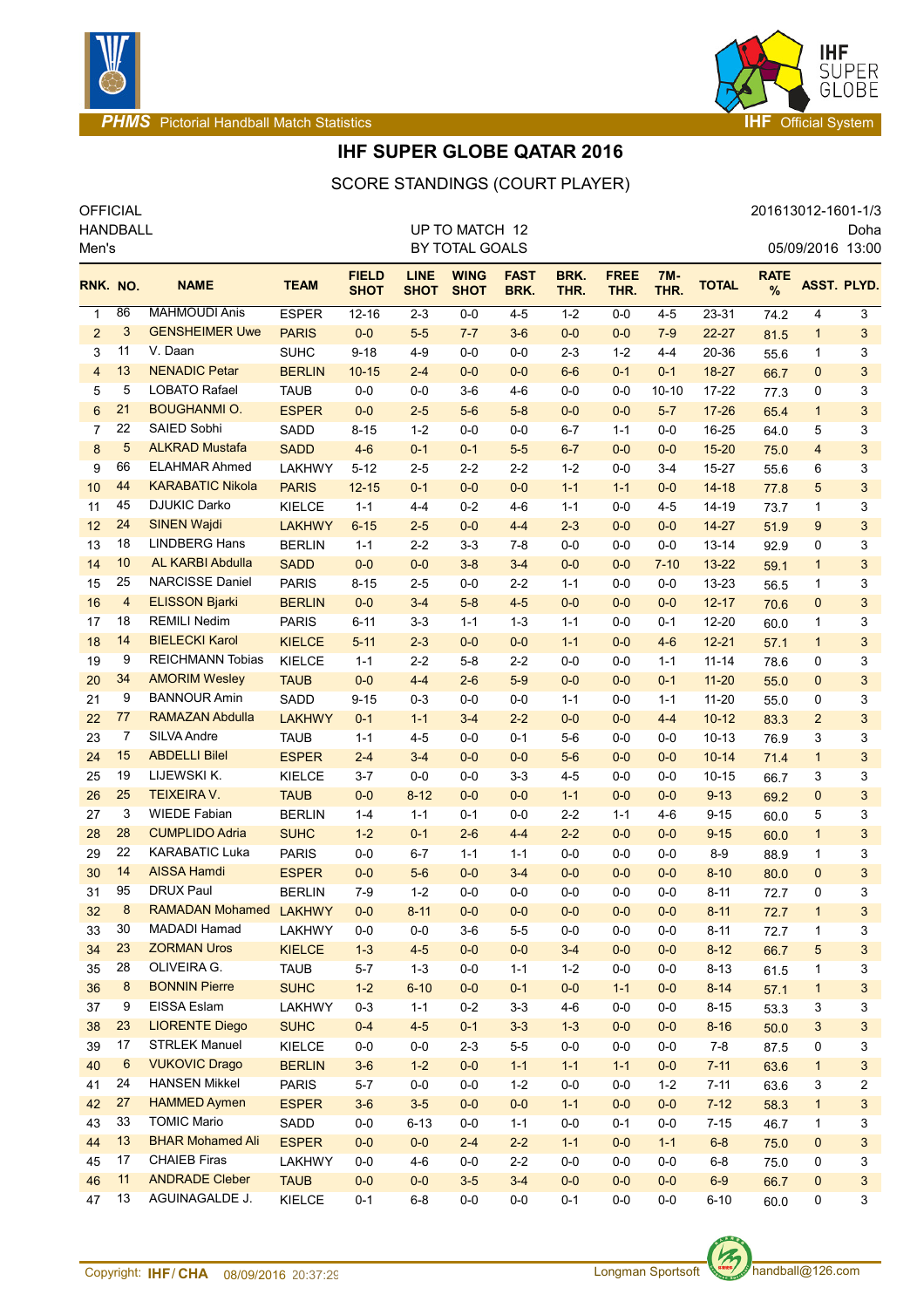

#### **PHMS Pictorial Handball Match Statistics Internal System IHF** Official System



# **IHF SUPER GLOBE QATAR 2016**

### OFFICIAL 201613012-1601-1/3 SCORE STANDINGS (COURT PLAYER)

HANDBALL Men's Doha 05/09/2016 13:00 UP TO MATCH 12 BY TOTAL GOALS **RNK. NO. BRAME TEAM FIELD SHOT LINE SHOT WING SHOT FAST BRK. BRK. THR. FREE THR. 7M-THR. TOTAL RATE** NO. NAME TEAM SHOT SHOT SHOT BRK. THR. THR. THR. TOTAL  $\frac{1}{N}$  ASST. PLYD. 86 MAHMOUDI Anis ESPER 12-16 2-3 0-0 4-5 1-2 0-0 4-5 23-31 74.2 4 3 3 GENSHEIMER Uwe PARIS 0-0 5-5 7-7 3-6 0-0 0-0 7-9 22-27 81.5 1 3 11 V. Daan SUHC 9-18 4-9 0-0 0-0 2-3 1-2 4-4 20-36 55.6 1 3 13 NENADIC Petar BERLIN 10-15 2-4 0-0 0-0 6-6 0-1 0-1 18-27 66.7 0 3 5 LOBATO Rafael TAUB 0-0 0-0 3-6 4-6 0-0 0-0 10-10 17-22 77.3 0 3 21 BOUGHANMI O. ESPER 0-0 2-5 5-6 5-8 0-0 0-0 5-7 17-26 65.4 1 3 22 SAIED Sobhi SADD 8-15 1-2 0-0 0-0 6-7 1-1 0-0 16-25 64.0 5 3 5 ALKRAD Mustafa SADD 4-6 0-1 0-1 5-5 6-7 0-0 0-0 15-20 75.0 4 3 66 ELAHMAR Ahmed LAKHWY 5-12 2-5 2-2 2-2 1-2 0-0 3-4 15-27 55.6 6 3 44 KARABATIC Nikola PARIS 12-15 0-1 0-0 0-0 1-1 1-1 0-0 14-18 77.8 5 3 45 DJUKIC Darko KIELCE 1-1 4-4 0-2 4-6 1-1 0-0 4-5 14-19 73.7 1 3 24 SINEN Wajdi LAKHWY 6-15 2-5 0-0 4-4 2-3 0-0 0-0 14-27 51.9 9 3 18 LINDBERG Hans BERLIN 1-1 2-2 3-3 7-8 0-0 0-0 0-0 13-14 92.9 0 3 10 AL KARBI Abdulla SADD 0-0 0-0 3-8 3-4 0-0 0-0 7-10 13-22 59.1 1 3 25 NARCISSE Daniel PARIS 8-15 2-5 0-0 2-2 1-1 0-0 0-0 13-23 56.5 1 3 4 ELISSON Bjarki BERLIN 0-0 3-4 5-8 4-5 0-0 0-0 0-0 12-17 70.6 0 3 18 REMILI Nedim PARIS 6-11 3-3 1-1 1-3 1-1 0-0 0-1 12-20 60.0 1 3 14 BIELECKI Karol KIELCE 5-11 2-3 0-0 0-0 1-1 0-0 4-6 12-21 57.1 1 3 9 REICHMANN Tobias KIELCE 1-1 2-2 5-8 2-2 0-0 0-0 1-1 11-14 78.6 0 3 34 AMORIM Wesley TAUB 0-0 4-4 2-6 5-9 0-0 0-0 0-1 11-20 55.0 0 3 9 BANNOUR Amin SADD 9-15 0-3 0-0 0-0 1-1 0-0 1-1 11-20 55.0 0 3 77 RAMAZAN Abdulla LAKHWY 0-1 1-1 3-4 2-2 0-0 0-0 4-4 10-12 83.3 2 3 7 SILVA Andre TAUB 1-1 4-5 0-0 0-1 5-6 0-0 0-0 10-13 76.9 3 3 15 ABDELLI Bilel ESPER 2-4 3-4 0-0 0-0 5-6 0-0 0-0 10-14 71.4 1 3 19 LIJEWSKI K. KIELCE 3-7 0-0 0-0 3-3 4-5 0-0 0-0 10-15 66.7 3 3 25 TEIXEIRA V. TAUB 0-0 8-12 0-0 0-0 1-1 0-0 0-0 9-13 69.2 0 3 3 WIEDE Fabian BERLIN 1-4 1-1 0-1 0-0 2-2 1-1 4-6 9-15 60.0 5 3 28 CUMPLIDO Adria SUHC 1-2 0-1 2-6 4-4 2-2 0-0 0-0 9-15 60.0 1 3 22 KARABATIC Luka PARIS 0-0 6-7 1-1 1-1 0-0 0-0 0-0 8-9 88.9 1 3 14 AISSA Hamdi ESPER 0-0 5-6 0-0 3-4 0-0 0-0 0-0 8-10 80.0 0 3 95 DRUX Paul BERLIN 7-9 1-2 0-0 0-0 0-0 0-0 0-0 8-11 72.7 0 3 8 RAMADAN Mohamed LAKHWY 0-0 8-11 0-0 0-0 0-0 0-0 0-0 8-11 72.7 1 3 30 MADADI Hamad LAKHWY 0-0 0-0 3-6 5-5 0-0 0-0 0-0 8-11 72.7 1 3 23 ZORMAN Uros KIELCE 1-3 4-5 0-0 0-0 3-4 0-0 0-0 8-12 66.7 5 3 28 OLIVEIRA G. TAUB 5-7 1-3 0-0 1-1 1-2 0-0 0-0 8-13 61.5 1 3 8 BONNIN Pierre SUHC 1-2 6-10 0-0 0-1 0-0 1-1 0-0 8-14 57.1 1 3 9 EISSA Eslam LAKHWY 0-3 1-1 0-2 3-3 4-6 0-0 0-0 8-15 53.3 3 3 23 LIORENTE Diego SUHC 0-4 4-5 0-1 3-3 1-3 0-0 0-0 8-16 50.0 3 3 17 STRLEK Manuel KIELCE 0-0 0-0 2-3 5-5 0-0 0-0 0-0 7-8 87.5 0 3 6 VUKOVIC Drago BERLIN 3-6 1-2 0-0 1-1 1-1 1-1 0-0 7-11 63.6 1 3 24 HANSEN Mikkel PARIS 5-7 0-0 0-0 1-2 0-0 0-0 1-2 7-11 63.6 3 2 27 HAMMED Aymen ESPER 3-6 3-5 0-0 0-0 1-1 0-0 0-0 7-12 58.3 1 3 33 TOMIC Mario SADD 0-0 6-13 0-0 1-1 0-0 0-1 0-0 7-15 46.7 1 3 13 BHAR Mohamed Ali ESPER 0-0 0-0 2-4 2-2 1-1 0-0 1-1 6-8 75.0 0 3 17 CHAIEB Firas LAKHWY 0-0 4-6 0-0 2-2 0-0 0-0 0-0 6-8 75.0 0 3 11 ANDRADE Cleber TAUB 0-0 0-0 3-5 3-4 0-0 0-0 0-0 6-9 66.7 0 3 13 AGUINAGALDE J. KIELCE 0-1 6-8 0-0 0-0 0-1 0-0 0-0 6-10 60.0 0 3

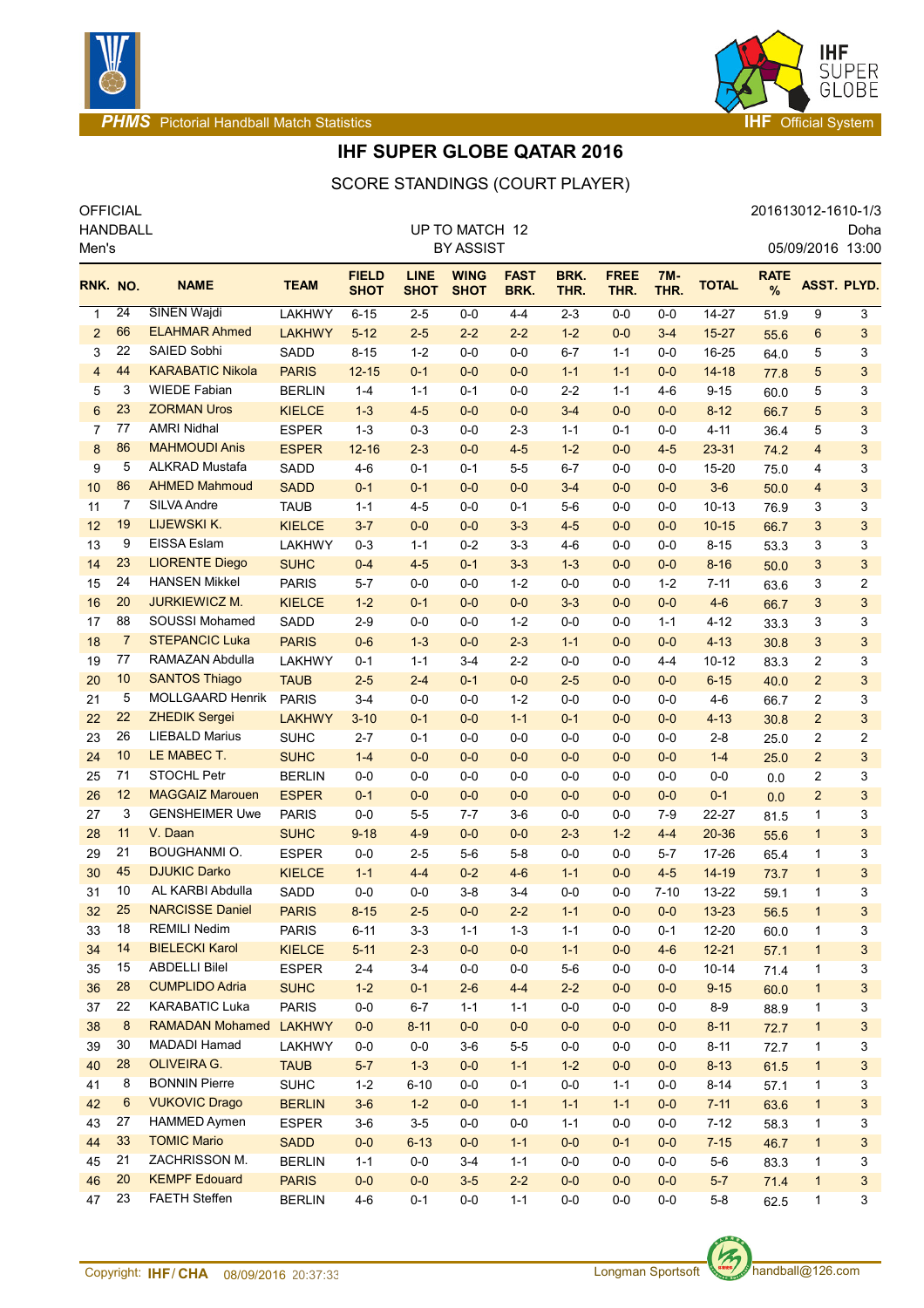

#### **PHMS Pictorial Handball Match Statistics Internal System IHF** Official System



Doha

# **IHF SUPER GLOBE QATAR 2016**

### OFFICIAL 201613012-1610-1/3 SCORE STANDINGS (COURT PLAYER)

HANDBALL Men's 05/09/2016 13:00 UP TO MATCH 12 BY ASSIST **RNK. NO. BRAME TEAM FIELD SHOT LINE SHOT WING SHOT FAST BRK. BRK. THR. FREE THR. 7M-THR. TOTAL RATE** NO. NAME TEAM SHOT SHOT SHOT BRK. THR. THR. THR. TOTAL  $\frac{1}{N}$  ASST. PLYD. 24 SINEN Wajdi LAKHWY 6-15 2-5 0-0 4-4 2-3 0-0 0-0 14-27 51.9 9 3 66 ELAHMAR Ahmed LAKHWY 5-12 2-5 2-2 2-2 1-2 0-0 3-4 15-27 55.6 6 3 22 SAIED Sobhi SADD 8-15 1-2 0-0 0-0 6-7 1-1 0-0 16-25 64.0 5 3 44 KARABATIC Nikola PARIS 12-15 0-1 0-0 0-0 1-1 1-1 0-0 14-18 77.8 5 3 3 WIEDE Fabian BERLIN 1-4 1-1 0-1 0-0 2-2 1-1 4-6 9-15 60.0 5 3 23 ZORMAN Uros KIELCE 1-3 4-5 0-0 0-0 3-4 0-0 0-0 8-12 66.7 5 3 77 AMRI Nidhal ESPER 1-3 0-3 0-0 2-3 1-1 0-1 0-0 4-11 36.4 5 3 86 MAHMOUDI Anis ESPER 12-16 2-3 0-0 4-5 1-2 0-0 4-5 23-31 74.2 4 3 5 ALKRAD Mustafa SADD 4-6 0-1 0-1 5-5 6-7 0-0 0-0 15-20 75.0 4 3 86 AHMED Mahmoud SADD 0-1 0-1 0-0 0-0 3-4 0-0 0-0 3-6 50.0 4 3 7 SILVA Andre TAUB 1-1 4-5 0-0 0-1 5-6 0-0 0-0 10-13 76.9 3 3 19 LIJEWSKI K. KIELCE 3-7 0-0 0-0 3-3 4-5 0-0 0-0 10-15 66.7 3 3 9 EISSA Eslam LAKHWY 0-3 1-1 0-2 3-3 4-6 0-0 0-0 8-15 53.3 3 3 23 LIORENTE Diego SUHC 0-4 4-5 0-1 3-3 1-3 0-0 0-0 8-16 50.0 3 3 24 HANSEN Mikkel PARIS 5-7 0-0 0-0 1-2 0-0 0-0 1-2 7-11 63.6 3 2 20 JURKIEWICZ M. KIELCE 1-2 0-1 0-0 0-0 3-3 0-0 0-0 4-6 66.7 3 3 88 SOUSSI Mohamed SADD 2-9 0-0 0-0 1-2 0-0 0-0 1-1 4-12 33.3 3 3 7 STEPANCIC Luka PARIS 0-6 1-3 0-0 2-3 1-1 0-0 0-0 4-13 30.8 3 3 77 RAMAZAN Abdulla LAKHWY 0-1 1-1 3-4 2-2 0-0 0-0 4-4 10-12 83.3 2 3 10 SANTOS Thiago TAUB 2-5 2-4 0-1 0-0 2-5 0-0 0-0 6-15 40.0 2 3 5 MOLLGAARD Henrik PARIS 3-4 0-0 0-0 1-2 0-0 0-0 0-0 4-6 66.7 2 3 22 ZHEDIK Sergei LAKHWY 3-10 0-1 0-0 1-1 0-1 0-0 0-0 4-13 30.8 2 3 26 LIEBALD Marius SUHC 2-7 0-1 0-0 0-0 0-0 0-0 0-0 2-8 25.0 2 2 10 LE MABEC T. SUHC 1-4 0-0 0-0 0-0 0-0 0-0 0-0 1-4 25.0 2 3 71 STOCHL Petr BERLIN 0-0 0-0 0-0 0-0 0-0 0-0 0-0 0-0 0.0 2 3 12 MAGGAIZ Marouen ESPER 0-1 0-0 0-0 0-0 0-0 0-0 0-0 0-1 0.0 2 3 3 GENSHEIMER Uwe PARIS 0-0 5-5 7-7 3-6 0-0 0-0 7-9 22-27 81.5 1 3 11 V. Daan SUHC 9-18 4-9 0-0 0-0 2-3 1-2 4-4 20-36 55.6 1 3 29 21 BOUGHANMI O. ESPER 0-0 2-5 5-6 5-8 0-0 0-0 5-7 17-26 65.4 1 3 45 DJUKIC Darko KIELCE 1-1 4-4 0-2 4-6 1-1 0-0 4-5 14-19 73.7 1 3 10 AL KARBI Abdulla SADD 0-0 0-0 3-8 3-4 0-0 0-0 7-10 13-22 59.1 1 3 25 NARCISSE Daniel PARIS 8-15 2-5 0-0 2-2 1-1 0-0 0-0 13-23 56.5 1 3 18 REMILI Nedim PARIS 6-11 3-3 1-1 1-3 1-1 0-0 0-1 12-20 60.0 1 3 14 BIELECKI Karol KIELCE 5-11 2-3 0-0 0-0 1-1 0-0 4-6 12-21 57.1 1 3 15 ABDELLI Bilel ESPER 2-4 3-4 0-0 0-0 5-6 0-0 0-0 10-14 71.4 1 3 28 CUMPLIDO Adria SUHC 1-2 0-1 2-6 4-4 2-2 0-0 0-0 9-15 60.0 1 3 22 KARABATIC Luka PARIS 0-0 6-7 1-1 1-1 0-0 0-0 0-0 8-9 88.9 1 3 8 RAMADAN Mohamed LAKHWY 0-0 8-11 0-0 0-0 0-0 0-0 0-0 8-11 72.7 1 3 30 MADADI Hamad LAKHWY 0-0 0-0 3-6 5-5 0-0 0-0 0-0 8-11 72.7 1 3 28 OLIVEIRA G. TAUB 5-7 1-3 0-0 1-1 1-2 0-0 0-0 8-13 61.5 1 3 8 BONNIN Pierre SUHC 1-2 6-10 0-0 0-1 0-0 1-1 0-0 8-14 57.1 1 3 6 VUKOVIC Drago BERLIN 3-6 1-2 0-0 1-1 1-1 1-1 0-0 7-11 63.6 1 3 27 HAMMED Aymen ESPER 3-6 3-5 0-0 0-0 1-1 0-0 0-0 7-12 58.3 1 3 33 TOMIC Mario SADD 0-0 6-13 0-0 1-1 0-0 0-1 0-0 7-15 46.7 1 3

 21 ZACHRISSON M. BERLIN 1-1 0-0 3-4 1-1 0-0 0-0 0-0 5-6 83.3 1 3 20 KEMPF Edouard PARIS 0-0 0-0 3-5 2-2 0-0 0-0 0-0 5-7 71.4 1 3 23 FAETH Steffen BERLIN 4-6 0-1 0-0 1-1 0-0 0-0 0-0 5-8 62.5 1 3



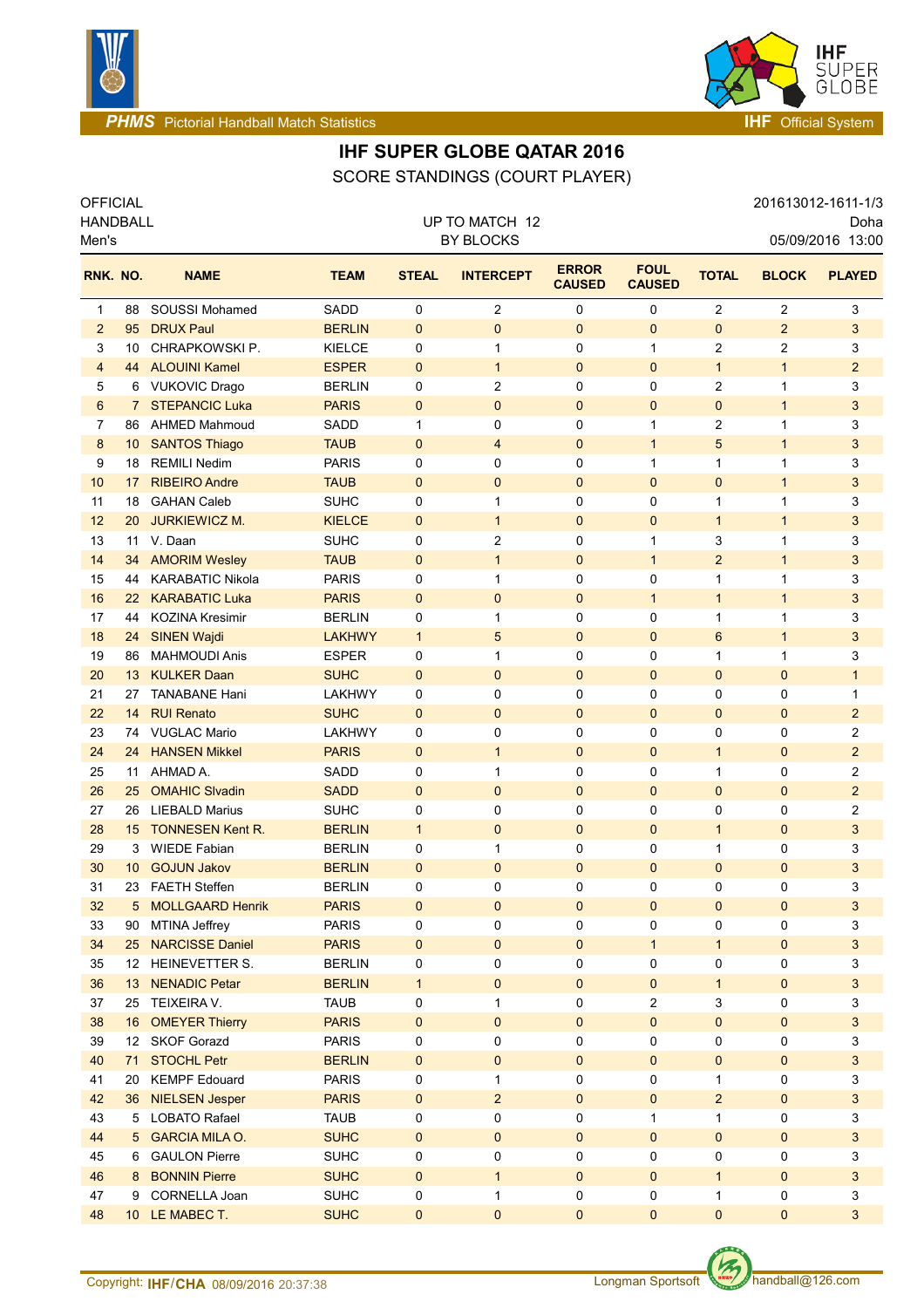



**PHMS** Pictorial Handball Match Statistics **Internal Control of Control Control of The Official System** 

# **IHF SUPER GLOBE QATAR 2016**

OFFICIAL 201613012-1611-1/3 SCORE STANDINGS (COURT PLAYER)

| <b>HANDBALL</b><br>Men's |                  |                         |               | UP TO MATCH 12<br><b>BY BLOCKS</b> |                  | Doha<br>05/09/2016 13:00      |                              |                |                     |                |
|--------------------------|------------------|-------------------------|---------------|------------------------------------|------------------|-------------------------------|------------------------------|----------------|---------------------|----------------|
| RNK. NO.                 |                  | <b>NAME</b>             | <b>TEAM</b>   | <b>STEAL</b>                       | <b>INTERCEPT</b> | <b>ERROR</b><br><b>CAUSED</b> | <b>FOUL</b><br><b>CAUSED</b> | <b>TOTAL</b>   | <b>BLOCK</b>        | <b>PLAYED</b>  |
| 1                        | 88               | SOUSSI Mohamed          | <b>SADD</b>   | 0                                  | $\overline{2}$   | 0                             | 0                            | $\mathbf{2}$   | 2                   | 3              |
| $\overline{2}$           | 95               | <b>DRUX Paul</b>        | <b>BERLIN</b> | $\mathbf 0$                        | $\mathbf 0$      | 0                             | 0                            | $\mathbf{0}$   | $\overline{2}$      | 3              |
| 3                        | 10               | CHRAPKOWSKI P.          | <b>KIELCE</b> | 0                                  | 1                | 0                             | $\mathbf{1}$                 | 2              | 2                   | 3              |
| $\overline{4}$           | 44               | <b>ALOUINI Kamel</b>    | <b>ESPER</b>  | $\mathbf 0$                        | $\mathbf{1}$     | $\mathbf 0$                   | $\mathbf 0$                  | $\mathbf{1}$   | $\mathbf{1}$        | $\overline{2}$ |
| 5                        | 6                | <b>VUKOVIC Drago</b>    | <b>BERLIN</b> | 0                                  | $\overline{2}$   | 0                             | 0                            | 2              | 1                   | 3              |
| 6                        | 7                | <b>STEPANCIC Luka</b>   | <b>PARIS</b>  | $\mathbf 0$                        | $\pmb{0}$        | $\pmb{0}$                     | $\mathbf 0$                  | $\mathbf{0}$   | $\mathbf{1}$        | 3              |
| $\overline{7}$           | 86               | <b>AHMED Mahmoud</b>    | SADD          | 1                                  | 0                | 0                             | $\mathbf{1}$                 | $\overline{2}$ | 1                   | 3              |
| 8                        | 10 <sup>°</sup>  | <b>SANTOS Thiago</b>    | <b>TAUB</b>   | 0                                  | 4                | $\bf{0}$                      | $\mathbf{1}$                 | 5              | $\mathbf{1}$        | 3              |
| 9                        | 18               | <b>REMILI Nedim</b>     | <b>PARIS</b>  | 0                                  | 0                | 0                             | $\mathbf{1}$                 | $\mathbf{1}$   | 1                   | 3              |
| 10                       | 17               | <b>RIBEIRO Andre</b>    | <b>TAUB</b>   | 0                                  | $\mathbf 0$      | $\pmb{0}$                     | 0                            | $\mathbf{0}$   | $\mathbf{1}$        | 3              |
| 11                       | 18               | <b>GAHAN Caleb</b>      | <b>SUHC</b>   | 0                                  | 1                | 0                             | 0                            | 1              | 1                   | 3              |
| 12                       | 20               | <b>JURKIEWICZ M.</b>    | <b>KIELCE</b> | $\mathbf 0$                        | $\mathbf{1}$     | $\mathbf{0}$                  | 0                            | $\mathbf{1}$   | $\mathbf{1}$        | 3              |
| 13                       | 11               | V. Daan                 | <b>SUHC</b>   | 0                                  | 2                | 0                             | 1                            | 3              | 1                   | 3              |
| 14                       | 34               | <b>AMORIM Wesley</b>    | <b>TAUB</b>   | 0                                  | $\mathbf{1}$     | $\pmb{0}$                     | $\mathbf{1}$                 | $\overline{2}$ | $\mathbf{1}$        | 3              |
| 15                       | 44               | <b>KARABATIC Nikola</b> | <b>PARIS</b>  | 0                                  | $\mathbf{1}$     | 0                             | 0                            | $\mathbf{1}$   | 1                   | 3              |
| 16                       | 22 <sup>2</sup>  | <b>KARABATIC Luka</b>   | <b>PARIS</b>  | $\mathbf{0}$                       | 0                | $\mathbf 0$                   | $\mathbf{1}$                 | $\mathbf{1}$   | $\mathbf{1}$        | 3              |
| 17                       | 44               | <b>KOZINA Kresimir</b>  | <b>BERLIN</b> | 0                                  | 1                | 0                             | 0                            | $\mathbf{1}$   | 1                   | 3              |
| 18                       | 24               | <b>SINEN Wajdi</b>      | <b>LAKHWY</b> | $\mathbf{1}$                       | 5                | $\mathbf 0$                   | $\mathbf{0}$                 | 6              | $\mathbf{1}$        | 3              |
| 19                       | 86               | <b>MAHMOUDI Anis</b>    | <b>ESPER</b>  | 0                                  | 1                | 0                             | 0                            | 1              | 1                   | 3              |
| 20                       | 13 <sup>°</sup>  | <b>KULKER Daan</b>      | <b>SUHC</b>   | $\mathbf{0}$                       | 0                | $\mathbf 0$                   | $\mathbf{0}$                 | $\mathbf{0}$   | $\mathbf{0}$        | $\mathbf{1}$   |
| 21                       | 27               | <b>TANABANE Hani</b>    | LAKHWY        | 0                                  | 0                | 0                             | 0                            | 0              | $\mathbf 0$         | 1              |
| 22                       | 14               | <b>RUI Renato</b>       | <b>SUHC</b>   | $\mathbf{0}$                       | 0                | $\mathbf 0$                   | 0                            | $\mathbf{0}$   | $\mathbf 0$         | $\overline{2}$ |
| 23                       | 74               | <b>VUGLAC Mario</b>     | LAKHWY        | 0                                  | 0                | 0                             | 0                            | $\mathbf 0$    | 0                   | 2              |
| 24                       | 24               | <b>HANSEN Mikkel</b>    | <b>PARIS</b>  | $\mathbf 0$                        | $\mathbf{1}$     | $\mathbf{0}$                  | $\mathbf{0}$                 | $\mathbf{1}$   | $\mathbf 0$         | $\overline{2}$ |
| 25                       | 11               | AHMAD A.                | SADD          | 0                                  | 1                | 0                             | 0                            | 1              | 0                   | 2              |
| 26                       | 25               | <b>OMAHIC Slvadin</b>   | <b>SADD</b>   | $\mathbf 0$                        | $\mathbf 0$      | $\pmb{0}$                     | 0                            | $\mathbf{0}$   | $\mathbf 0$         | $\overline{2}$ |
| 27                       | 26               | <b>LIEBALD Marius</b>   | <b>SUHC</b>   | 0                                  | 0                | 0                             | 0                            | $\mathbf 0$    | 0                   | 2              |
| 28                       | 15               | <b>TONNESEN Kent R.</b> | <b>BERLIN</b> | $\mathbf{1}$                       | 0                | $\pmb{0}$                     | 0                            | $\mathbf{1}$   | $\mathbf 0$         | 3              |
| 29                       | 3                | <b>WIEDE Fabian</b>     | <b>BERLIN</b> | 0                                  | 1                | 0                             | 0                            | $\mathbf{1}$   | 0                   | 3              |
| 30                       | 10 <sup>°</sup>  | <b>GOJUN Jakov</b>      | <b>BERLIN</b> | 0                                  | 0                | $\boldsymbol{0}$              | 0                            | $\mathbf 0$    | $\mathbf 0$         | 3              |
| 31                       | 23               | <b>FAETH Steffen</b>    | <b>BERLIN</b> | 0                                  | 0                | 0                             | 0                            | $\mathbf 0$    | $\mathbf 0$         | 3              |
| 32                       | 5                | <b>MOLLGAARD Henrik</b> | <b>PARIS</b>  | 0                                  | $\Omega$         | 0                             | $\mathbf{0}$                 | 0              | 0                   | 3              |
| 33                       | 90               | MTINA Jeffrey           | <b>PARIS</b>  | 0                                  | 0                | 0                             | 0                            | 0              | 0                   | 3              |
| 34                       | 25 <sub>2</sub>  | <b>NARCISSE Daniel</b>  | <b>PARIS</b>  | $\mathbf 0$                        | $\mathbf 0$      | $\mathbf 0$                   | $\mathbf{1}$                 | $\mathbf{1}$   | $\mathsf{O}\xspace$ | 3              |
| 35                       | 12 <sup>12</sup> | HEINEVETTER S.          | <b>BERLIN</b> | 0                                  | 0                | 0                             | 0                            | 0              | $\mathbf 0$         | 3              |
| 36                       | 13 <sup>7</sup>  | <b>NENADIC Petar</b>    | <b>BERLIN</b> | $\mathbf{1}$                       | $\mathbf 0$      | $\pmb{0}$                     | $\mathbf 0$                  | $\mathbf{1}$   | $\mathbf 0$         | 3              |
| 37                       |                  | 25 TEIXEIRA V.          | <b>TAUB</b>   | 0                                  | $\mathbf{1}$     | 0                             | 2                            | $\mathsf 3$    | $\mathbf 0$         | 3              |
| 38                       |                  | 16 OMEYER Thierry       | <b>PARIS</b>  | $\mathbf 0$                        | $\mathbf 0$      | $\mathbf 0$                   | $\mathbf 0$                  | $\mathbf{0}$   | $\mathbf 0$         | $\mathbf{3}$   |
| 39                       |                  | 12 SKOF Gorazd          | <b>PARIS</b>  | 0                                  | 0                | 0                             | 0                            | 0              | $\mathbf 0$         | 3              |
| 40                       |                  | 71 STOCHL Petr          | <b>BERLIN</b> | $\mathbf 0$                        | $\pmb{0}$        | $\pmb{0}$                     | $\mathbf 0$                  | $\mathbf{0}$   | $\mathbf 0$         | $\mathbf{3}$   |
| 41                       |                  | 20 KEMPF Edouard        | <b>PARIS</b>  | 0                                  | 1                | 0                             | 0                            | $\mathbf{1}$   | 0                   | 3              |
| 42                       |                  | 36 NIELSEN Jesper       | <b>PARIS</b>  | $\mathbf 0$                        | $\overline{a}$   | $\pmb{0}$                     | $\pmb{0}$                    | $\overline{2}$ | $\pmb{0}$           | $\mathbf{3}$   |
| 43                       |                  | 5 LOBATO Rafael         | <b>TAUB</b>   | 0                                  | 0                | 0                             | 1                            | $\mathbf{1}$   | 0                   | 3              |
| 44                       |                  | 5 GARCIA MILA O.        | <b>SUHC</b>   | $\pmb{0}$                          | $\pmb{0}$        | $\pmb{0}$                     | $\pmb{0}$                    | $\pmb{0}$      | $\mathbf 0$         | 3              |
| 45                       | 6.               | <b>GAULON Pierre</b>    | <b>SUHC</b>   | 0                                  | 0                | 0                             | 0                            | 0              | 0                   | 3              |
| 46                       | 8                | <b>BONNIN Pierre</b>    | <b>SUHC</b>   | $\pmb{0}$                          | $\mathbf{1}$     | $\pmb{0}$                     | $\mathbf 0$                  | $\mathbf{1}$   | $\mathbf 0$         | 3              |
| 47                       | 9                | CORNELLA Joan           | <b>SUHC</b>   | 0                                  | $\mathbf{1}$     | 0                             | 0                            | $\mathbf{1}$   | 0                   | 3              |
| 48                       |                  | 10 LE MABEC T.          | <b>SUHC</b>   | $\pmb{0}$                          | $\pmb{0}$        | 0                             | 0                            | $\pmb{0}$      | 0                   | 3              |

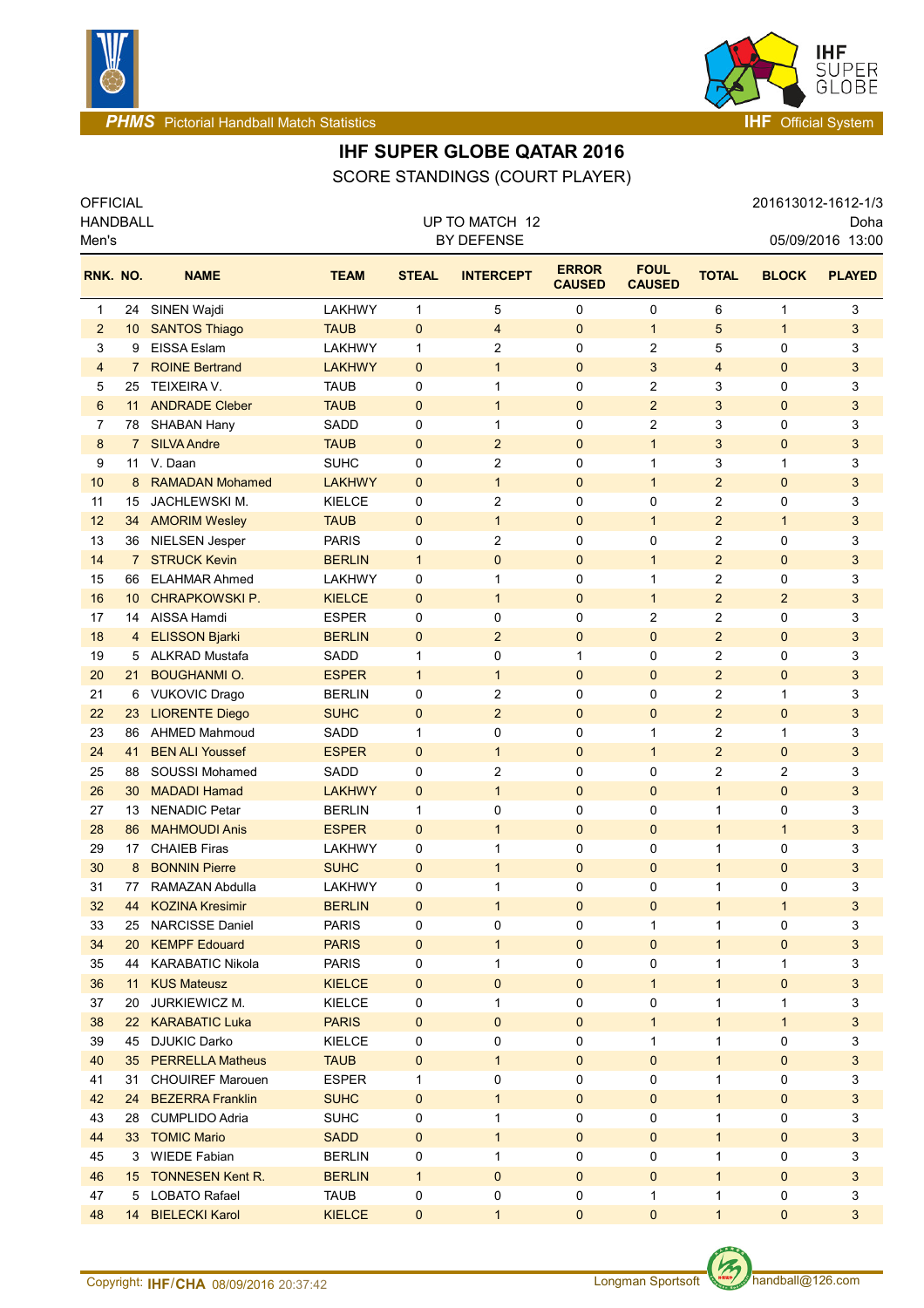



**PHMS** Pictorial Handball Match Statistics **Internal Control of Control Control of The Official System** 

# **IHF SUPER GLOBE QATAR 2016**

OFFICIAL 201613012-1612-1/3 SCORE STANDINGS (COURT PLAYER)

| <b>HANDBALL</b><br>Men's |                 |                         |               | UP TO MATCH 12<br>BY DEFENSE |                     |                               |                              |                |                |                |
|--------------------------|-----------------|-------------------------|---------------|------------------------------|---------------------|-------------------------------|------------------------------|----------------|----------------|----------------|
| RNK. NO.                 |                 | <b>NAME</b>             | <b>TEAM</b>   | <b>STEAL</b>                 | <b>INTERCEPT</b>    | <b>ERROR</b><br><b>CAUSED</b> | <b>FOUL</b><br><b>CAUSED</b> | <b>TOTAL</b>   | <b>BLOCK</b>   | <b>PLAYED</b>  |
| 1                        | 24              | SINEN Wajdi             | LAKHWY        | $\mathbf{1}$                 | 5                   | 0                             | 0                            | 6              | 1              | 3              |
| $\overline{c}$           | 10              | <b>SANTOS Thiago</b>    | <b>TAUB</b>   | $\mathbf 0$                  | $\overline{4}$      | $\mathbf 0$                   | $\mathbf{1}$                 | 5              | $\mathbf{1}$   | 3              |
| 3                        | 9               | EISSA Eslam             | LAKHWY        | 1                            | 2                   | 0                             | $\overline{c}$               | 5              | 0              | 3              |
| 4                        | 7               | <b>ROINE Bertrand</b>   | <b>LAKHWY</b> | $\mathbf{0}$                 | $\mathbf{1}$        | $\mathbf 0$                   | 3                            | $\overline{4}$ | $\mathbf{0}$   | 3              |
| 5                        | 25              | <b>TEIXEIRA V.</b>      | <b>TAUB</b>   | 0                            | 1                   | 0                             | 2                            | 3              | 0              | 3              |
| 6                        | 11              | <b>ANDRADE Cleber</b>   | <b>TAUB</b>   | $\mathbf 0$                  | $\mathbf{1}$        | $\pmb{0}$                     | $\overline{2}$               | 3              | 0              | 3              |
| 7                        | 78              | <b>SHABAN Hany</b>      | SADD          | 0                            | 1                   | 0                             | $\overline{c}$               | 3              | 0              | 3              |
| 8                        | $7^{\circ}$     | <b>SILVA Andre</b>      | <b>TAUB</b>   | 0                            | $\overline{c}$      | 0                             | $\mathbf{1}$                 | 3              | 0              | 3              |
| 9                        | 11              | V. Daan                 | <b>SUHC</b>   | 0                            | 2                   | 0                             | 1                            | 3              | 1              | 3              |
| 10                       | 8               | <b>RAMADAN Mohamed</b>  | <b>LAKHWY</b> | $\mathbf{0}$                 | $\mathbf{1}$        | $\pmb{0}$                     | $\mathbf{1}$                 | $\overline{2}$ | 0              | 3              |
| 11                       | 15              | JACHLEWSKI M.           | <b>KIELCE</b> | 0                            | 2                   | 0                             | 0                            | 2              | 0              | 3              |
| 12                       | 34              | <b>AMORIM Wesley</b>    | <b>TAUB</b>   | 0                            | $\mathbf{1}$        | $\pmb{0}$                     | $\mathbf{1}$                 | $\overline{2}$ | $\mathbf{1}$   | 3              |
| 13                       | 36              | NIELSEN Jesper          | <b>PARIS</b>  | 0                            | $\overline{2}$      | 0                             | 0                            | $\mathbf{2}$   | 0              | 3              |
| 14                       | 7 <sup>7</sup>  | <b>STRUCK Kevin</b>     | <b>BERLIN</b> | $\mathbf{1}$                 | $\mathbf 0$         | 0                             | $\mathbf{1}$                 | $\overline{2}$ | $\mathbf{0}$   | 3              |
| 15                       | 66              | <b>ELAHMAR Ahmed</b>    | <b>LAKHWY</b> | 0                            | $\mathbf{1}$        | 0                             | $\mathbf{1}$                 | $\mathbf{2}$   | 0              | 3              |
| 16                       | 10 <sup>°</sup> | <b>CHRAPKOWSKI P.</b>   | <b>KIELCE</b> | $\Omega$                     | $\mathbf{1}$        | 0                             | $\mathbf{1}$                 | $\overline{2}$ | $\overline{2}$ | 3              |
| 17                       | 14              | AISSA Hamdi             | <b>ESPER</b>  | 0                            | 0                   | 0                             | $\mathbf{2}$                 | 2              | 0              | 3              |
| 18                       | 4               | <b>ELISSON Bjarki</b>   | <b>BERLIN</b> | $\mathbf{0}$                 | $\overline{2}$      | $\mathbf 0$                   | $\mathbf{0}$                 | $\overline{2}$ | $\mathbf{0}$   | $\mathfrak{B}$ |
| 19                       | 5               | <b>ALKRAD Mustafa</b>   | SADD          | 1                            | 0                   | 1                             | 0                            | 2              | 0              | 3              |
| 20                       | 21              | <b>BOUGHANMI O.</b>     | <b>ESPER</b>  | $\mathbf{1}$                 | $\mathbf{1}$        | $\mathbf 0$                   | $\mathbf{0}$                 | $\overline{2}$ | $\mathbf{0}$   | $\mathfrak{B}$ |
| 21                       | 6               | <b>VUKOVIC Drago</b>    | <b>BERLIN</b> | 0                            | 2                   | 0                             | $\mathbf 0$                  | 2              | 1              | 3              |
| 22                       | 23              | <b>LIORENTE Diego</b>   | <b>SUHC</b>   | $\mathbf{0}$                 | $\overline{2}$      | $\mathbf 0$                   | $\mathbf{0}$                 | $\overline{2}$ | $\mathbf{0}$   | 3              |
| 23                       | 86              | <b>AHMED Mahmoud</b>    | SADD          | 1                            | 0                   | 0                             | 1                            | 2              | 1              | 3              |
| 24                       | 41              | <b>BEN ALI Youssef</b>  | <b>ESPER</b>  | $\mathbf{0}$                 | $\mathbf 1$         | $\mathbf 0$                   | $\mathbf{1}$                 | $\overline{2}$ | 0              | 3              |
| 25                       | 88              | <b>SOUSSI Mohamed</b>   | SADD          | 0                            | 2                   | 0                             | 0                            | 2              | 2              | 3              |
| 26                       | 30              | <b>MADADI Hamad</b>     | <b>LAKHWY</b> | $\mathbf 0$                  | $\mathbf{1}$        | $\pmb{0}$                     | $\mathbf 0$                  | $\mathbf{1}$   | $\mathbf 0$    | 3              |
| 27                       | 13              | <b>NENADIC Petar</b>    | <b>BERLIN</b> | 1                            | 0                   | 0                             | 0                            | 1              | 0              | 3              |
| 28                       | 86              | <b>MAHMOUDI Anis</b>    | <b>ESPER</b>  | $\mathbf 0$                  | $\mathbf{1}$        | $\pmb{0}$                     | $\mathbf 0$                  | $\mathbf{1}$   | $\mathbf{1}$   | 3              |
| 29                       | 17              | <b>CHAIEB Firas</b>     | <b>LAKHWY</b> | 0                            | 1                   | 0                             | 0                            | 1              | 0              | 3              |
| 30                       | 8               | <b>BONNIN Pierre</b>    | <b>SUHC</b>   | $\mathbf{0}$                 | $\mathbf{1}$        | 0                             | $\mathbf 0$                  | $\mathbf{1}$   | 0              | 3              |
| 31                       | 77              | RAMAZAN Abdulla         | LAKHWY        | 0                            | 1                   | 0                             | $\mathbf 0$                  | 1              | 0              | 3              |
| 32                       | 44              | <b>KOZINA Kresimir</b>  | <b>BERLIN</b> | $\mathbf 0$                  | 1                   | 0                             | 0                            | 1              | 1              | 3              |
| 33                       | 25              | <b>NARCISSE Daniel</b>  | <b>PARIS</b>  | 0                            | 0                   | 0                             | 1                            | 1              | 0              | 3              |
| 34                       | 20 <sup>°</sup> | <b>KEMPF Edouard</b>    | <b>PARIS</b>  | $\mathbf 0$                  | $\mathbf{1}$        | $\mathbf 0$                   | $\mathbf{0}$                 | $\mathbf{1}$   | 0              | 3              |
| 35                       | 44              | <b>KARABATIC Nikola</b> | <b>PARIS</b>  | 0                            | $\mathbf{1}$        | 0                             | 0                            | 1              | 1              | 3              |
| 36                       |                 | 11 KUS Mateusz          | <b>KIELCE</b> | $\mathbf 0$                  | $\mathsf{O}\xspace$ | $\mathbf 0$                   | $\mathbf{1}$                 | $\mathbf{1}$   | 0              | $\mathfrak{S}$ |
| 37                       |                 | 20 JURKIEWICZ M.        | <b>KIELCE</b> | 0                            | 1                   | 0                             | 0                            | 1              | $\mathbf{1}$   | 3              |
| 38                       |                 | 22 KARABATIC Luka       | <b>PARIS</b>  | $\mathbf 0$                  | $\mathbf{0}$        | $\mathbf 0$                   | $\mathbf{1}$                 | $\mathbf{1}$   | $\mathbf{1}$   | 3              |
| 39                       |                 | 45 DJUKIC Darko         | <b>KIELCE</b> | 0                            | 0                   | 0                             | $\mathbf{1}$                 | 1              | 0              | 3              |
| 40                       |                 | 35 PERRELLA Matheus     | <b>TAUB</b>   | $\pmb{0}$                    | $\mathbf{1}$        | $\pmb{0}$                     | $\mathbf 0$                  | $\mathbf{1}$   | 0              | 3              |
| 41                       | 31              | <b>CHOUIREF Marouen</b> | <b>ESPER</b>  | $\mathbf{1}$                 | 0                   | 0                             | 0                            | 1              | 0              | 3              |
| 42                       | 24              | <b>BEZERRA Franklin</b> | <b>SUHC</b>   | 0                            | $\mathbf{1}$        | 0                             | $\mathbf{0}$                 | $\mathbf{1}$   | 0              | 3              |
| 43                       | 28              | <b>CUMPLIDO Adria</b>   | <b>SUHC</b>   | 0                            | $\mathbf{1}$        | 0                             | 0                            | 1              | 0              | 3              |
| 44                       |                 | 33 TOMIC Mario          | <b>SADD</b>   | $\mathbf 0$                  | $\mathbf{1}$        | 0                             | $\mathbf{0}$                 | $\mathbf{1}$   | 0              | $\mathbf{3}$   |
| 45                       | 3               | <b>WIEDE Fabian</b>     | <b>BERLIN</b> | 0                            | $\mathbf{1}$        | 0                             | 0                            | 1              | 0              | 3              |
| 46                       |                 | 15 TONNESEN Kent R.     | <b>BERLIN</b> | $\mathbf{1}$                 | $\mathbf{0}$        | 0                             | $\mathbf{0}$                 | $\mathbf{1}$   | 0              | 3              |
| 47                       | 5               | <b>LOBATO Rafael</b>    | <b>TAUB</b>   | 0                            | 0                   | 0                             | $\mathbf{1}$                 | 1              | 0              | 3              |
| 48                       | 14              | <b>BIELECKI Karol</b>   | <b>KIELCE</b> | 0                            | $\mathbf{1}$        | $\pmb{0}$                     | $\pmb{0}$                    | $\mathbf{1}$   | 0              | 3              |

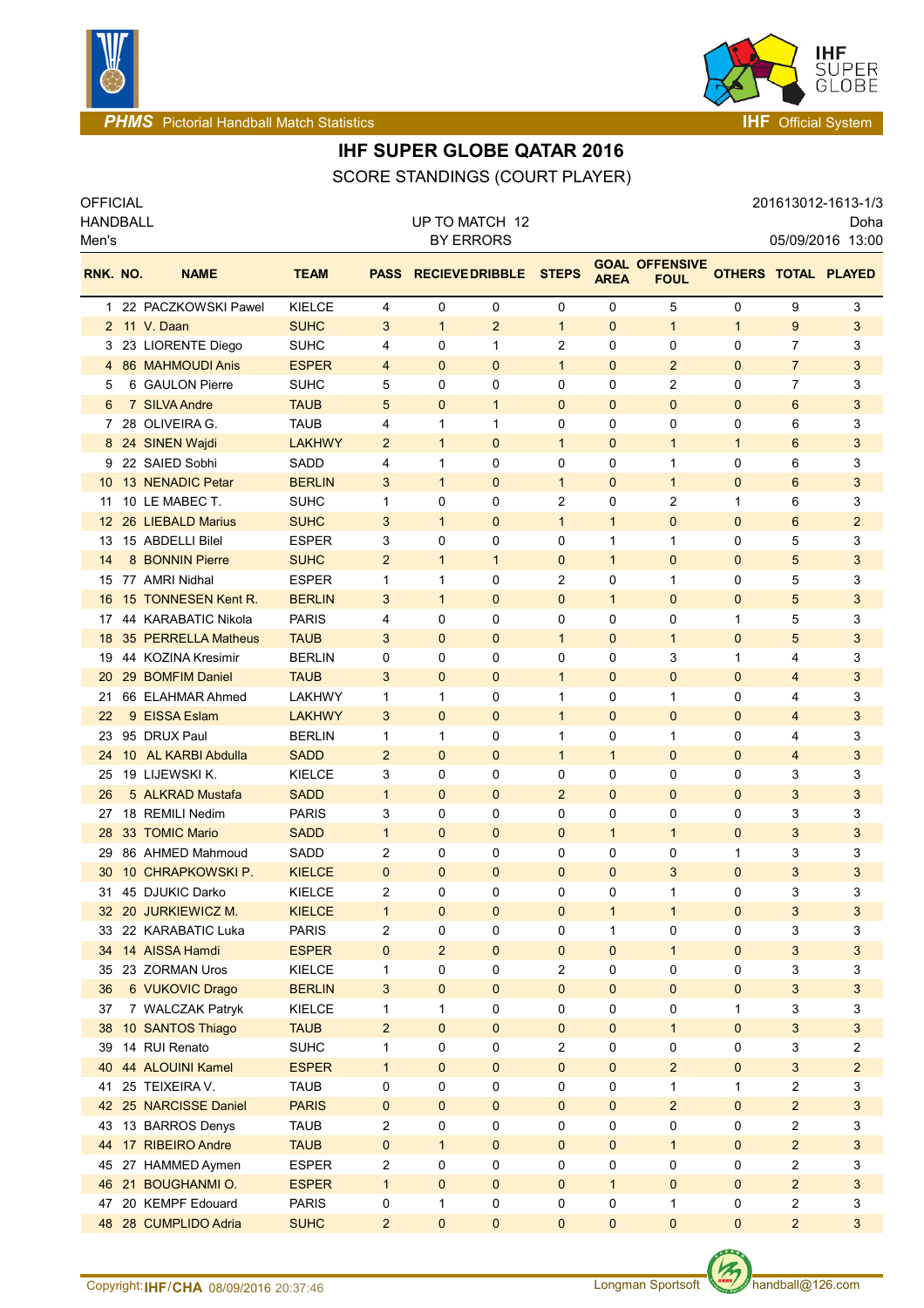



**PHMS** Pictorial Handball Match Statistics **Intervalse and Contract Contract Contract Contract Contract Contract Contract Contract Contract Contract Contract Contract Contract Contract Contract Contract Contract Contract C** 

# **IHF SUPER GLOBE QATAR 2016**

SCORE STANDINGS (COURT PLAYER)

| <b>OFFICIAL</b>          |  |                       |               |                |                                    |                        |                |                |                                      |                          |                         | 201613012-1613-1/3 |
|--------------------------|--|-----------------------|---------------|----------------|------------------------------------|------------------------|----------------|----------------|--------------------------------------|--------------------------|-------------------------|--------------------|
| <b>HANDBALL</b><br>Men's |  |                       |               |                | UP TO MATCH 12<br><b>BY ERRORS</b> |                        |                |                |                                      | Doha<br>05/09/2016 13:00 |                         |                    |
| RNK. NO.                 |  | <b>NAME</b>           | <b>TEAM</b>   | <b>PASS</b>    |                                    | <b>RECIEVE DRIBBLE</b> | <b>STEPS</b>   | <b>AREA</b>    | <b>GOAL OFFENSIVE</b><br><b>FOUL</b> | OTHERS TOTAL PLAYED      |                         |                    |
| 1                        |  | 22 PACZKOWSKI Pawel   | <b>KIELCE</b> | 4              | 0                                  | 0                      | 0              | 0              | 5                                    | 0                        | 9                       | 3                  |
|                          |  | 2 11 V. Daan          | <b>SUHC</b>   | 3              | $\mathbf{1}$                       | $\overline{2}$         | $\mathbf{1}$   | $\mathbf{0}$   | $\mathbf{1}$                         | $\mathbf{1}$             | 9                       | 3                  |
| З                        |  | 23 LIORENTE Diego     | SUHC          | 4              | 0                                  | 1                      | 2              | 0              | 0                                    | 0                        | 7                       | 3                  |
| 4                        |  | 86 MAHMOUDI Anis      | <b>ESPER</b>  | 4              | $\mathbf 0$                        | $\mathbf 0$            | $\mathbf{1}$   | $\mathbf{0}$   | $\overline{2}$                       | 0                        | $\overline{7}$          | 3                  |
| 5                        |  | 6 GAULON Pierre       | <b>SUHC</b>   | 5              | 0                                  | 0                      | 0              | 0              | 2                                    | 0                        | 7                       | 3                  |
| 6                        |  | 7 SILVA Andre         | TAUB          | 5              | $\mathbf 0$                        | $\mathbf{1}$           | $\mathbf 0$    | $\mathbf{0}$   | $\mathbf 0$                          | 0                        | 6                       | 3                  |
| 7                        |  | 28 OLIVEIRA G.        | TAUB          | 4              | 1                                  | 1                      | 0              | 0              | 0                                    | 0                        | 6                       | 3                  |
| 8                        |  | 24 SINEN Wajdi        | <b>LAKHWY</b> | $\overline{c}$ | $\mathbf{1}$                       | $\mathbf 0$            | $\mathbf{1}$   | $\mathbf{0}$   | $\mathbf{1}$                         | $\mathbf{1}$             | 6                       | 3                  |
| 9                        |  | 22 SAIED Sobhi        | SADD          | 4              | 1                                  | 0                      | 0              | 0              | 1                                    | 0                        | 6                       | 3                  |
| 10                       |  | 13 NENADIC Petar      | <b>BERLIN</b> | 3              | $\mathbf{1}$                       | $\mathbf 0$            | $\mathbf{1}$   | $\mathbf{0}$   | $\mathbf{1}$                         | 0                        | 6                       | 3                  |
| 11                       |  | 10 LE MABEC T.        | <b>SUHC</b>   | 1              | 0                                  | 0                      | 2              | 0              | $\overline{c}$                       | 1                        | 6                       | 3                  |
| $12 \overline{ }$        |  | 26 LIEBALD Marius     | <b>SUHC</b>   | 3              | 1                                  | $\mathbf 0$            | $\mathbf{1}$   | $\mathbf{1}$   | $\mathbf 0$                          | 0                        | 6                       | $\overline{2}$     |
| 13                       |  | 15 ABDELLI Bilel      | <b>ESPER</b>  | 3              | 0                                  | 0                      | 0              | 1              | $\mathbf{1}$                         | 0                        | 5                       | 3                  |
| 14                       |  | 8 BONNIN Pierre       | <b>SUHC</b>   | $\overline{2}$ | $\mathbf{1}$                       | $\mathbf{1}$           | 0              | $\mathbf{1}$   | $\mathbf 0$                          | $\mathbf{0}$             | 5                       | 3                  |
| 15                       |  | 77 AMRI Nidhal        | <b>ESPER</b>  | 1              | 1                                  | 0                      | 2              | 0              | 1                                    | 0                        | 5                       | 3                  |
| 16                       |  | 15 TONNESEN Kent R.   | <b>BERLIN</b> | 3              | $\mathbf{1}$                       | $\mathbf 0$            | 0              | $\mathbf{1}$   | $\mathbf{0}$                         | $\mathbf{0}$             | 5                       | 3                  |
| 17                       |  | 44 KARABATIC Nikola   | <b>PARIS</b>  | 4              | 0                                  | 0                      | 0              | 0              | 0                                    | 1                        | 5                       | 3                  |
| 18                       |  | 35 PERRELLA Matheus   | <b>TAUB</b>   | 3              | $\mathbf 0$                        | $\mathbf 0$            | $\mathbf{1}$   | $\mathbf{0}$   | $\mathbf{1}$                         | 0                        | 5                       | 3                  |
| 19                       |  | 44 KOZINA Kresimir    | <b>BERLIN</b> | 0              | 0                                  | 0                      | 0              | 0              | 3                                    | 1                        | 4                       | 3                  |
| 20                       |  | 29 BOMFIM Daniel      | <b>TAUB</b>   | 3              | $\mathbf 0$                        | $\mathbf 0$            | $\mathbf{1}$   | $\mathbf{0}$   | $\mathbf 0$                          | 0                        | 4                       | 3                  |
| 21                       |  | 66 ELAHMAR Ahmed      | LAKHWY        | 1              | 1                                  | 0                      | 1              | 0              | 1                                    | 0                        | 4                       | 3                  |
| 22                       |  | 9 EISSA Eslam         | <b>LAKHWY</b> | 3              | $\mathbf 0$                        | $\mathbf 0$            | $\mathbf{1}$   | 0              | $\mathbf 0$                          | 0                        | 4                       | 3                  |
| 23                       |  | 95 DRUX Paul          | <b>BERLIN</b> | 1              | 1                                  | 0                      | 1              | 0              | 1                                    | 0                        | 4                       | 3                  |
| 24                       |  | 10 AL KARBI Abdulla   | <b>SADD</b>   | $\overline{2}$ | $\mathbf 0$                        | $\mathbf 0$            | $\mathbf{1}$   | $\mathbf{1}$   | $\mathbf{0}$                         | $\mathbf{0}$             | 4                       | 3                  |
| 25                       |  | 19 LIJEWSKI K.        | <b>KIELCE</b> | 3              | 0                                  | 0                      | 0              | 0              | 0                                    | 0                        | 3                       | 3                  |
| 26                       |  | 5 ALKRAD Mustafa      | <b>SADD</b>   | $\mathbf{1}$   | $\mathbf{0}$                       | $\mathbf 0$            | $\overline{2}$ | $\mathbf{0}$   | $\mathbf{0}$                         | $\mathbf{0}$             | 3                       | 3                  |
| 27                       |  | 18 REMILI Nedim       | <b>PARIS</b>  | 3              | 0                                  | 0                      | 0              | 0              | 0                                    | 0                        | 3                       | 3                  |
| 28                       |  | 33 TOMIC Mario        | <b>SADD</b>   | $\mathbf{1}$   | $\mathbf 0$                        | $\mathbf 0$            | $\mathbf 0$    | $\mathbf{1}$   | $\mathbf{1}$                         | 0                        | 3                       | 3                  |
| 29                       |  | 86 AHMED Mahmoud      | SADD          | 2              | 0                                  | 0                      | 0              | 0              | 0                                    | 1                        | 3                       | 3                  |
|                          |  | 30 10 CHRAPKOWSKI P.  | <b>KIELCE</b> | 0              | $\mathbf 0$                        | $\mathbf 0$            | $\mathbf{0}$   | 0              | 3                                    | $\mathbf{0}$             | 3                       | 3                  |
|                          |  | 31 45 DJUKIC Darko    | KIELCE        | 2              | 0                                  | 0                      | 0              | 0              | 1                                    | 0                        | 3                       | 3                  |
|                          |  | 32 20 JURKIEWICZ M.   | <b>KIELCE</b> | $\mathbf{1}$   | $\mathbf 0$                        | $\pmb{0}$              | $\mathbf 0$    | $\mathbf{1}$   | $\mathbf{1}$                         | $\mathbf 0$              | $\mathfrak{B}$          | 3                  |
| 33                       |  | 22 KARABATIC Luka     | <b>PARIS</b>  | 2              | 0                                  | 0                      | 0              | 1              | 0                                    | 0                        | 3                       | 3                  |
| 34                       |  | 14 AISSA Hamdi        | <b>ESPER</b>  | 0              | $\overline{c}$                     | $\mathbf 0$            | $\mathbf 0$    | 0              | $\mathbf{1}$                         | 0                        | 3                       | 3                  |
| 35                       |  | 23 ZORMAN Uros        | KIELCE        | 1              | 0                                  | 0                      | 2              | 0              | 0                                    | 0                        | 3                       | 3                  |
| 36                       |  | 6 VUKOVIC Drago       | <b>BERLIN</b> | 3              | $\mathbf 0$                        | $\pmb{0}$              | $\mathbf 0$    | $\overline{0}$ | $\mathbf 0$                          | 0                        | 3                       | 3                  |
| 37                       |  | 7 WALCZAK Patryk      | KIELCE        | 1              | 1                                  | 0                      | 0              | 0              | 0                                    | 1                        | 3                       | 3                  |
| 38                       |  | 10 SANTOS Thiago      | <b>TAUB</b>   | $\overline{a}$ | $\mathbf 0$                        | $\pmb{0}$              | $\pmb{0}$      | 0              | $\mathbf{1}$                         | 0                        | $\mathfrak{B}$          | 3                  |
| 39                       |  | 14 RUI Renato         | <b>SUHC</b>   | 1              | 0                                  | 0                      | 2              | 0              | 0                                    | 0                        | 3                       | 2                  |
| 40                       |  | 44 ALOUINI Kamel      | <b>ESPER</b>  | $\mathbf{1}$   | $\mathbf 0$                        | $\pmb{0}$              | $\mathbf{0}$   | $\mathbf{0}$   | $\overline{2}$                       | 0                        | 3                       | $\overline{c}$     |
| 41                       |  | 25 TEIXEIRA V.        | <b>TAUB</b>   | 0              | 0                                  | 0                      | 0              | 0              | 1                                    | 1                        | $\overline{\mathbf{c}}$ | 3                  |
|                          |  | 42 25 NARCISSE Daniel | <b>PARIS</b>  | $\pmb{0}$      | $\mathbf 0$                        | $\pmb{0}$              | $\pmb{0}$      | $\mathbf 0$    | $\overline{2}$                       | 0                        | $\overline{c}$          | 3                  |
| 43                       |  | 13 BARROS Denys       | <b>TAUB</b>   | 2              | 0                                  | 0                      | 0              | 0              | 0                                    | 0                        | $\overline{c}$          | 3                  |
| 44                       |  | 17 RIBEIRO Andre      | <b>TAUB</b>   | 0              | $\mathbf{1}$                       | $\pmb{0}$              | $\pmb{0}$      | 0              | $\mathbf{1}$                         | 0                        | $\overline{c}$          | 3                  |
|                          |  | 45 27 HAMMED Aymen    | <b>ESPER</b>  | 2              | 0                                  | 0                      | 0              | 0              | 0                                    | 0                        | $\overline{\mathbf{c}}$ | 3                  |
|                          |  | 46 21 BOUGHANMI O.    | <b>ESPER</b>  | $\mathbf{1}$   | $\mathbf{0}$                       | $\mathbf 0$            | $\mathbf 0$    | $\mathbf{1}$   | $\mathbf 0$                          | $\mathbf{0}$             | $\overline{2}$          | 3                  |
| 47                       |  | 20 KEMPF Edouard      | <b>PARIS</b>  | 0              | 1                                  | 0                      | 0              | 0              | 1                                    | 0                        | $\overline{\mathbf{c}}$ | 3                  |
|                          |  | 48 28 CUMPLIDO Adria  | <b>SUHC</b>   | $\overline{c}$ | $\pmb{0}$                          | $\pmb{0}$              | 0              | 0              | $\mathbf 0$                          | 0                        | $\overline{2}$          | 3                  |